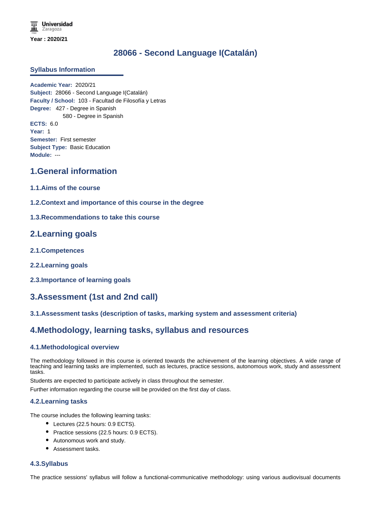**Universidad** Zaragoza **Year : 2020/21**

# **28066 - Second Language I(Catalán)**

### **Syllabus Information**

**Academic Year:** 2020/21 **Subject:** 28066 - Second Language I(Catalán) **Faculty / School:** 103 - Facultad de Filosofía y Letras **Degree:** 427 - Degree in Spanish 580 - Degree in Spanish **ECTS:** 6.0 **Year:** 1 **Semester:** First semester **Subject Type:** Basic Education **Module:** ---

# **1.General information**

- **1.1.Aims of the course**
- **1.2.Context and importance of this course in the degree**
- **1.3.Recommendations to take this course**

## **2.Learning goals**

- **2.1.Competences**
- **2.2.Learning goals**
- **2.3.Importance of learning goals**

# **3.Assessment (1st and 2nd call)**

## **3.1.Assessment tasks (description of tasks, marking system and assessment criteria)**

# **4.Methodology, learning tasks, syllabus and resources**

#### **4.1.Methodological overview**

The methodology followed in this course is oriented towards the achievement of the learning objectives. A wide range of teaching and learning tasks are implemented, such as lectures, practice sessions, autonomous work, study and assessment tasks.

Students are expected to participate actively in class throughout the semester.

Further information regarding the course will be provided on the first day of class.

#### **4.2.Learning tasks**

The course includes the following learning tasks:

- Lectures (22.5 hours: 0.9 ECTS).
- Practice sessions (22.5 hours: 0.9 ECTS).
- Autonomous work and study.
- Assessment tasks.

### **4.3.Syllabus**

The practice sessions' syllabus will follow a functional-communicative methodology: using various audiovisual documents